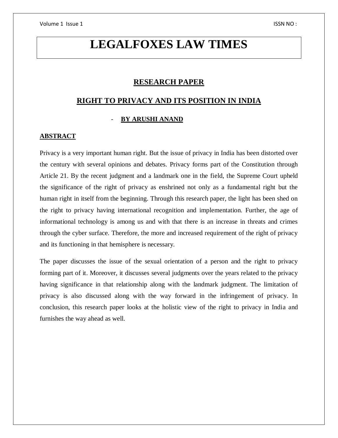# **LEGALFOXES LAW TIMES**

# **RESEARCH PAPER**

# **RIGHT TO PRIVACY AND ITS POSITION IN INDIA**

## - **BY ARUSHI ANAND**

#### **ABSTRACT**

Privacy is a very important human right. But the issue of privacy in India has been distorted over the century with several opinions and debates. Privacy forms part of the Constitution through Article 21. By the recent judgment and a landmark one in the field, the Supreme Court upheld the significance of the right of privacy as enshrined not only as a fundamental right but the human right in itself from the beginning. Through this research paper, the light has been shed on the right to privacy having international recognition and implementation. Further, the age of informational technology is among us and with that there is an increase in threats and crimes through the cyber surface. Therefore, the more and increased requirement of the right of privacy and its functioning in that hemisphere is necessary.

The paper discusses the issue of the sexual orientation of a person and the right to privacy forming part of it. Moreover, it discusses several judgments over the years related to the privacy having significance in that relationship along with the landmark judgment. The limitation of privacy is also discussed along with the way forward in the infringement of privacy. In conclusion, this research paper looks at the holistic view of the right to privacy in India and furnishes the way ahead as well.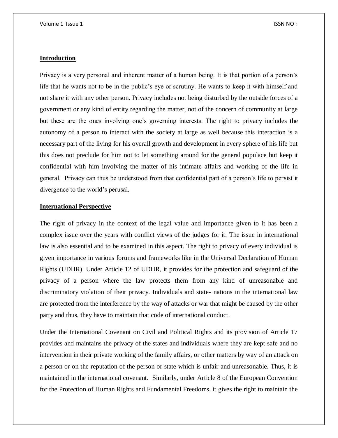## **Introduction**

Privacy is a very personal and inherent matter of a human being. It is that portion of a person's life that he wants not to be in the public's eye or scrutiny. He wants to keep it with himself and not share it with any other person. Privacy includes not being disturbed by the outside forces of a government or any kind of entity regarding the matter, not of the concern of community at large but these are the ones involving one's governing interests. The right to privacy includes the autonomy of a person to interact with the society at large as well because this interaction is a necessary part of the living for his overall growth and development in every sphere of his life but this does not preclude for him not to let something around for the general populace but keep it confidential with him involving the matter of his intimate affairs and working of the life in general. Privacy can thus be understood from that confidential part of a person's life to persist it divergence to the world's perusal.

## **International Perspective**

The right of privacy in the context of the legal value and importance given to it has been a complex issue over the years with conflict views of the judges for it. The issue in international law is also essential and to be examined in this aspect. The right to privacy of every individual is given importance in various forums and frameworks like in the Universal Declaration of Human Rights (UDHR). Under Article 12 of UDHR, it provides for the protection and safeguard of the privacy of a person where the law protects them from any kind of unreasonable and discriminatory violation of their privacy. Individuals and state- nations in the international law are protected from the interference by the way of attacks or war that might be caused by the other party and thus, they have to maintain that code of international conduct.

Under the International Covenant on Civil and Political Rights and its provision of Article 17 provides and maintains the privacy of the states and individuals where they are kept safe and no intervention in their private working of the family affairs, or other matters by way of an attack on a person or on the reputation of the person or state which is unfair and unreasonable. Thus, it is maintained in the international covenant. Similarly, under Article 8 of the European Convention for the Protection of Human Rights and Fundamental Freedoms, it gives the right to maintain the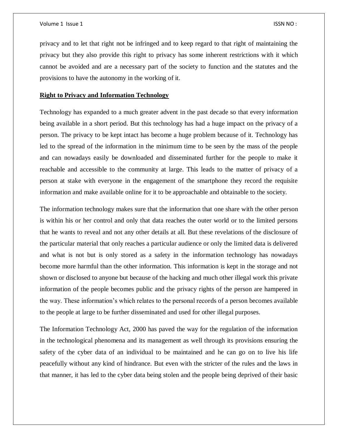privacy and to let that right not be infringed and to keep regard to that right of maintaining the privacy but they also provide this right to privacy has some inherent restrictions with it which cannot be avoided and are a necessary part of the society to function and the statutes and the provisions to have the autonomy in the working of it.

#### **Right to Privacy and Information Technology**

Technology has expanded to a much greater advent in the past decade so that every information being available in a short period. But this technology has had a huge impact on the privacy of a person. The privacy to be kept intact has become a huge problem because of it. Technology has led to the spread of the information in the minimum time to be seen by the mass of the people and can nowadays easily be downloaded and disseminated further for the people to make it reachable and accessible to the community at large. This leads to the matter of privacy of a person at stake with everyone in the engagement of the smartphone they record the requisite information and make available online for it to be approachable and obtainable to the society.

The information technology makes sure that the information that one share with the other person is within his or her control and only that data reaches the outer world or to the limited persons that he wants to reveal and not any other details at all. But these revelations of the disclosure of the particular material that only reaches a particular audience or only the limited data is delivered and what is not but is only stored as a safety in the information technology has nowadays become more harmful than the other information. This information is kept in the storage and not shown or disclosed to anyone but because of the hacking and much other illegal work this private information of the people becomes public and the privacy rights of the person are hampered in the way. These information's which relates to the personal records of a person becomes available to the people at large to be further disseminated and used for other illegal purposes.

The Information Technology Act, 2000 has paved the way for the regulation of the information in the technological phenomena and its management as well through its provisions ensuring the safety of the cyber data of an individual to be maintained and he can go on to live his life peacefully without any kind of hindrance. But even with the stricter of the rules and the laws in that manner, it has led to the cyber data being stolen and the people being deprived of their basic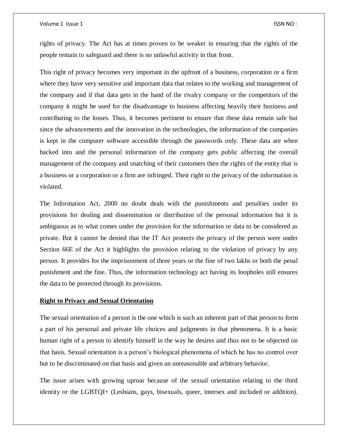#### Volume 1 Issue 1 **ISSN NO** :

rights of privacy. The Act has at times proven to be weaker in ensuring that the rights of the people remain to safeguard and there is no unlawful activity in that front.

This right of privacy becomes very important in the upfront of a business, corporation or a firm where they have very sensitive and important data that relates to the working and management of the company and if that data gets in the hand of the rivalry company or the competitors of the company it might be used for the disadvantage to business affecting heavily their business and contributing to the losses. Thus, it becomes pertinent to ensure that these data remain safe but since the advancements and the innovation in the technologies, the information of the companies is kept in the computer software accessible through the passwords only. These data are when hacked into and the personal information of the company gets public affecting the overall management of the company and snatching of their customers then the rights of the entity that is a business or a corporation or a firm are infringed. Their right to the privacy of the information is violated.

The Information Act, 2000 no doubt deals with the punishments and penalties under its provisions for dealing and dissemination or distribution of the personal information but it is ambiguous as to what comes under the provision for the information or data to be considered as private. But it cannot be denied that the IT Act protects the privacy of the person were under Section 66E of the Act it highlights the provision relating to the violation of privacy by any person. It provides for the imprisonment of three years or the fine of two lakhs or both the penal punishment and the fine. Thus, the information technology act having its loopholes still ensures the data to be protected through its provisions.

#### **Right to Privacy and Sexual Orientation**

The sexual orientation of a person is the one which is such an inherent part of that person to form a part of his personal and private life choices and judgments in that phenomena. It is a basic human right of a person to identify himself in the way he desires and thus not to be objected on that basis. Sexual orientation is a person's biological phenomena of which he has no control over but to be discriminated on that basis and given an unreasonable and arbitrary behavior.

The issue arises with growing uproar because of the sexual orientation relating to the third identity or the LGBTQI+ (Lesbians, gays, bisexuals, queer, intersex and included or addition).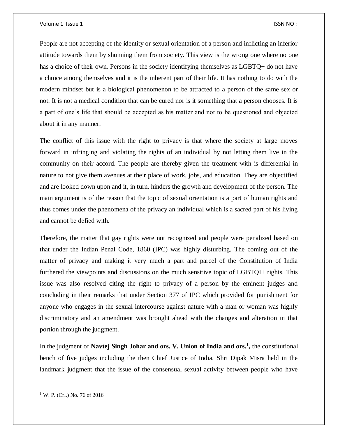#### Volume 1 Issue 1 **ISSN NO** :

People are not accepting of the identity or sexual orientation of a person and inflicting an inferior attitude towards them by shunning them from society. This view is the wrong one where no one has a choice of their own. Persons in the society identifying themselves as LGBTQ+ do not have a choice among themselves and it is the inherent part of their life. It has nothing to do with the modern mindset but is a biological phenomenon to be attracted to a person of the same sex or not. It is not a medical condition that can be cured nor is it something that a person chooses. It is a part of one's life that should be accepted as his matter and not to be questioned and objected about it in any manner.

The conflict of this issue with the right to privacy is that where the society at large moves forward in infringing and violating the rights of an individual by not letting them live in the community on their accord. The people are thereby given the treatment with is differential in nature to not give them avenues at their place of work, jobs, and education. They are objectified and are looked down upon and it, in turn, hinders the growth and development of the person. The main argument is of the reason that the topic of sexual orientation is a part of human rights and thus comes under the phenomena of the privacy an individual which is a sacred part of his living and cannot be defied with.

Therefore, the matter that gay rights were not recognized and people were penalized based on that under the Indian Penal Code, 1860 (IPC) was highly disturbing. The coming out of the matter of privacy and making it very much a part and parcel of the Constitution of India furthered the viewpoints and discussions on the much sensitive topic of LGBTQI+ rights. This issue was also resolved citing the right to privacy of a person by the eminent judges and concluding in their remarks that under Section 377 of IPC which provided for punishment for anyone who engages in the sexual intercourse against nature with a man or woman was highly discriminatory and an amendment was brought ahead with the changes and alteration in that portion through the judgment.

In the judgment of **Navtej Singh Johar and ors. V. Union of India and ors.<sup>1</sup> ,** the constitutional bench of five judges including the then Chief Justice of India, Shri Dipak Misra held in the landmark judgment that the issue of the consensual sexual activity between people who have

 $\overline{a}$ 

<sup>&</sup>lt;sup>1</sup> W. P. (Crl.) No. 76 of 2016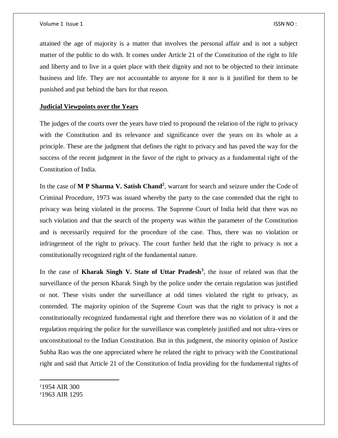attained the age of majority is a matter that involves the personal affair and is not a subject matter of the public to do with. It comes under Article 21 of the Constitution of the right to life and liberty and to live in a quiet place with their dignity and not to be objected to their intimate business and life. They are not accountable to anyone for it nor is it justified for them to be punished and put behind the bars for that reason.

#### **Judicial Viewpoints over the Years**

The judges of the courts over the years have tried to propound the relation of the right to privacy with the Constitution and its relevance and significance over the years on its whole as a principle. These are the judgment that defines the right to privacy and has paved the way for the success of the recent judgment in the favor of the right to privacy as a fundamental right of the Constitution of India.

In the case of **M P Sharma V. Satish Chand<sup>2</sup>** , warrant for search and seizure under the Code of Criminal Procedure, 1973 was issued whereby the party to the case contended that the right to privacy was being violated in the process. The Supreme Court of India held that there was no such violation and that the search of the property was within the parameter of the Constitution and is necessarily required for the procedure of the case. Thus, there was no violation or infringement of the right to privacy. The court further held that the right to privacy is not a constitutionally recognized right of the fundamental nature.

In the case of **Kharak Singh V. State of Uttar Pradesh<sup>3</sup>** , the issue of related was that the surveillance of the person Kharak Singh by the police under the certain regulation was justified or not. These visits under the surveillance at odd times violated the right to privacy, as contended. The majority opinion of the Supreme Court was that the right to privacy is not a constitutionally recognized fundamental right and therefore there was no violation of it and the regulation requiring the police for the surveillance was completely justified and not ultra-vires or unconstitutional to the Indian Constitution. But in this judgment, the minority opinion of Justice Subha Rao was the one appreciated where he related the right to privacy with the Constitutional right and said that Article 21 of the Constitution of India providing for the fundamental rights of

<sup>2</sup>1954 AIR 300

 $\overline{\phantom{a}}$ 

<sup>3</sup>1963 AIR 1295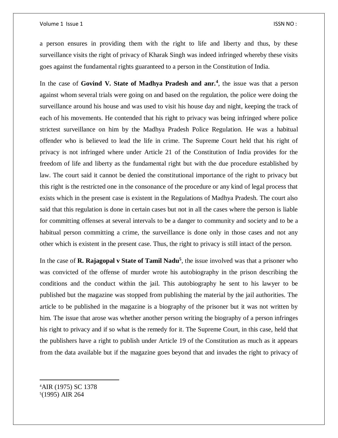#### Volume 1 Issue 1 **ISSN NO**:

a person ensures in providing them with the right to life and liberty and thus, by these surveillance visits the right of privacy of Kharak Singh was indeed infringed whereby these visits goes against the fundamental rights guaranteed to a person in the Constitution of India.

In the case of **Govind V. State of Madhya Pradesh and anr.<sup>4</sup>** , the issue was that a person against whom several trials were going on and based on the regulation, the police were doing the surveillance around his house and was used to visit his house day and night, keeping the track of each of his movements. He contended that his right to privacy was being infringed where police strictest surveillance on him by the Madhya Pradesh Police Regulation. He was a habitual offender who is believed to lead the life in crime. The Supreme Court held that his right of privacy is not infringed where under Article 21 of the Constitution of India provides for the freedom of life and liberty as the fundamental right but with the due procedure established by law. The court said it cannot be denied the constitutional importance of the right to privacy but this right is the restricted one in the consonance of the procedure or any kind of legal process that exists which in the present case is existent in the Regulations of Madhya Pradesh. The court also said that this regulation is done in certain cases but not in all the cases where the person is liable for committing offenses at several intervals to be a danger to community and society and to be a habitual person committing a crime, the surveillance is done only in those cases and not any other which is existent in the present case. Thus, the right to privacy is still intact of the person.

In the case of **R. Rajagopal v State of Tamil Nadu<sup>5</sup>**, the issue involved was that a prisoner who was convicted of the offense of murder wrote his autobiography in the prison describing the conditions and the conduct within the jail. This autobiography he sent to his lawyer to be published but the magazine was stopped from publishing the material by the jail authorities. The article to be published in the magazine is a biography of the prisoner but it was not written by him. The issue that arose was whether another person writing the biography of a person infringes his right to privacy and if so what is the remedy for it. The Supreme Court, in this case, held that the publishers have a right to publish under Article 19 of the Constitution as much as it appears from the data available but if the magazine goes beyond that and invades the right to privacy of

<sup>4</sup>AIR (1975) SC 1378 5 (1995) AIR 264

 $\overline{\phantom{a}}$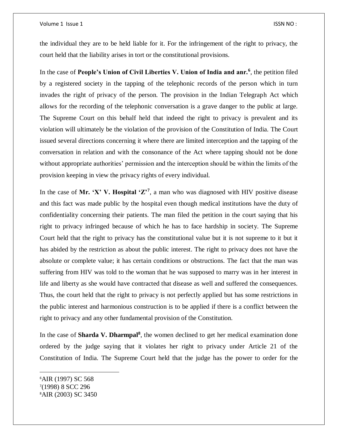#### Volume 1 Issue 1 **ISSN NO** :

the individual they are to be held liable for it. For the infringement of the right to privacy, the court held that the liability arises in tort or the constitutional provisions.

In the case of **People's Union of Civil Liberties V. Union of India and anr.<sup>6</sup>** , the petition filed by a registered society in the tapping of the telephonic records of the person which in turn invades the right of privacy of the person. The provision in the Indian Telegraph Act which allows for the recording of the telephonic conversation is a grave danger to the public at large. The Supreme Court on this behalf held that indeed the right to privacy is prevalent and its violation will ultimately be the violation of the provision of the Constitution of India. The Court issued several directions concerning it where there are limited interception and the tapping of the conversation in relation and with the consonance of the Act where tapping should not be done without appropriate authorities' permission and the interception should be within the limits of the provision keeping in view the privacy rights of every individual.

In the case of Mr. 'X' V. Hospital ' $\mathbb{Z}^7$ , a man who was diagnosed with HIV positive disease and this fact was made public by the hospital even though medical institutions have the duty of confidentiality concerning their patients. The man filed the petition in the court saying that his right to privacy infringed because of which he has to face hardship in society. The Supreme Court held that the right to privacy has the constitutional value but it is not supreme to it but it has abided by the restriction as about the public interest. The right to privacy does not have the absolute or complete value; it has certain conditions or obstructions. The fact that the man was suffering from HIV was told to the woman that he was supposed to marry was in her interest in life and liberty as she would have contracted that disease as well and suffered the consequences. Thus, the court held that the right to privacy is not perfectly applied but has some restrictions in the public interest and harmonious construction is to be applied if there is a conflict between the right to privacy and any other fundamental provision of the Constitution.

In the case of **Sharda V. Dharmpal<sup>8</sup>**, the women declined to get her medical examination done ordered by the judge saying that it violates her right to privacy under Article 21 of the Constitution of India. The Supreme Court held that the judge has the power to order for the

 $\overline{\phantom{a}}$ 

<sup>6</sup>AIR (1997) SC 568 7 (1998) 8 SCC 296 8AIR (2003) SC 3450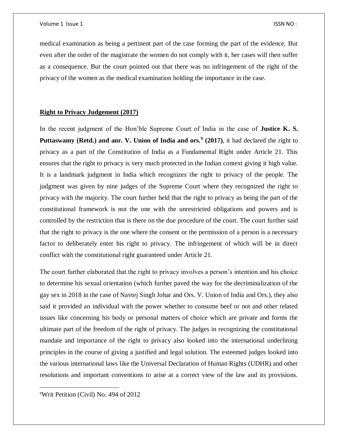medical examination as being a pertinent part of the case forming the part of the evidence. But even after the order of the magistrate the women do not comply with it, her cases will then suffer as a consequence. But the court pointed out that there was no infringement of the right of the privacy of the women as the medical examination holding the importance in the case.

## **Right to Privacy Judgement (2017)**

In the recent judgment of the Hon'ble Supreme Court of India in the case of **Justice K. S.**  Puttaswamy (Retd.) and anr. V. Union of India and ors.<sup>9</sup> (2017), it had declared the right to privacy as a part of the Constitution of India as a Fundamental Right under Article 21. This ensures that the right to privacy is very much protected in the Indian context giving it high value. It is a landmark judgment in India which recognizes the right to privacy of the people. The judgment was given by nine judges of the Supreme Court where they recognized the right to privacy with the majority. The court further held that the right to privacy as being the part of the constitutional framework is not the one with the unrestricted obligations and powers and is controlled by the restriction that is there on the due procedure of the court. The court further said that the right to privacy is the one where the consent or the permission of a person is a necessary factor to deliberately enter his right to privacy. The infringement of which will be in direct conflict with the constitutional right guaranteed under Article 21.

The court further elaborated that the right to privacy involves a person's intention and his choice to determine his sexual orientation (which further paved the way for the decriminalization of the gay sex in 2018 in the case of Navtej Singh Johar and Ors. V. Union of India and Ors.), they also said it provided an individual with the power whether to consume beef or not and other related issues like concerning his body or personal matters of choice which are private and forms the ultimate part of the freedom of the right of privacy. The judges in recognizing the constitutional mandate and importance of the right to privacy also looked into the international underlining principles in the course of giving a justified and legal solution. The esteemed judges looked into the various international laws like the Universal Declaration of Human Rights (UDHR) and other resolutions and important conventions to arise at a correct view of the law and its provisions.

9Writ Petition (Civil) No. 494 of 2012

 $\overline{a}$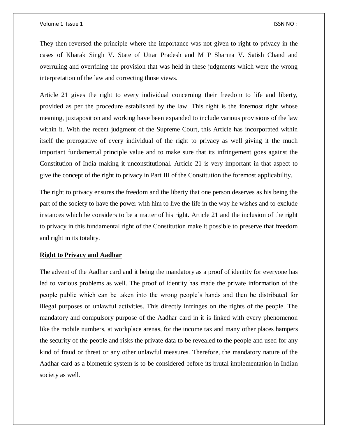They then reversed the principle where the importance was not given to right to privacy in the cases of Kharak Singh V. State of Uttar Pradesh and M P Sharma V. Satish Chand and overruling and overriding the provision that was held in these judgments which were the wrong interpretation of the law and correcting those views.

Article 21 gives the right to every individual concerning their freedom to life and liberty, provided as per the procedure established by the law. This right is the foremost right whose meaning, juxtaposition and working have been expanded to include various provisions of the law within it. With the recent judgment of the Supreme Court, this Article has incorporated within itself the prerogative of every individual of the right to privacy as well giving it the much important fundamental principle value and to make sure that its infringement goes against the Constitution of India making it unconstitutional. Article 21 is very important in that aspect to give the concept of the right to privacy in Part III of the Constitution the foremost applicability.

The right to privacy ensures the freedom and the liberty that one person deserves as his being the part of the society to have the power with him to live the life in the way he wishes and to exclude instances which he considers to be a matter of his right. Article 21 and the inclusion of the right to privacy in this fundamental right of the Constitution make it possible to preserve that freedom and right in its totality.

## **Right to Privacy and Aadhar**

The advent of the Aadhar card and it being the mandatory as a proof of identity for everyone has led to various problems as well. The proof of identity has made the private information of the people public which can be taken into the wrong people's hands and then be distributed for illegal purposes or unlawful activities. This directly infringes on the rights of the people. The mandatory and compulsory purpose of the Aadhar card in it is linked with every phenomenon like the mobile numbers, at workplace arenas, for the income tax and many other places hampers the security of the people and risks the private data to be revealed to the people and used for any kind of fraud or threat or any other unlawful measures. Therefore, the mandatory nature of the Aadhar card as a biometric system is to be considered before its brutal implementation in Indian society as well.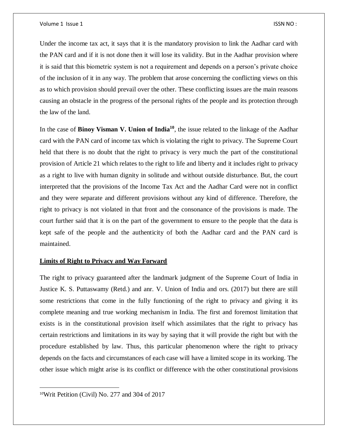Under the income tax act, it says that it is the mandatory provision to link the Aadhar card with the PAN card and if it is not done then it will lose its validity. But in the Aadhar provision where it is said that this biometric system is not a requirement and depends on a person's private choice of the inclusion of it in any way. The problem that arose concerning the conflicting views on this as to which provision should prevail over the other. These conflicting issues are the main reasons causing an obstacle in the progress of the personal rights of the people and its protection through the law of the land.

In the case of **Binoy Visman V. Union of India<sup>10</sup>**, the issue related to the linkage of the Aadhar card with the PAN card of income tax which is violating the right to privacy. The Supreme Court held that there is no doubt that the right to privacy is very much the part of the constitutional provision of Article 21 which relates to the right to life and liberty and it includes right to privacy as a right to live with human dignity in solitude and without outside disturbance. But, the court interpreted that the provisions of the Income Tax Act and the Aadhar Card were not in conflict and they were separate and different provisions without any kind of difference. Therefore, the right to privacy is not violated in that front and the consonance of the provisions is made. The court further said that it is on the part of the government to ensure to the people that the data is kept safe of the people and the authenticity of both the Aadhar card and the PAN card is maintained.

#### **Limits of Right to Privacy and Way Forward**

The right to privacy guaranteed after the landmark judgment of the Supreme Court of India in Justice K. S. Puttaswamy (Retd.) and anr. V. Union of India and ors. (2017) but there are still some restrictions that come in the fully functioning of the right to privacy and giving it its complete meaning and true working mechanism in India. The first and foremost limitation that exists is in the constitutional provision itself which assimilates that the right to privacy has certain restrictions and limitations in its way by saying that it will provide the right but with the procedure established by law. Thus, this particular phenomenon where the right to privacy depends on the facts and circumstances of each case will have a limited scope in its working. The other issue which might arise is its conflict or difference with the other constitutional provisions

 $\overline{a}$ 

<sup>10</sup>Writ Petition (Civil) No. 277 and 304 of 2017